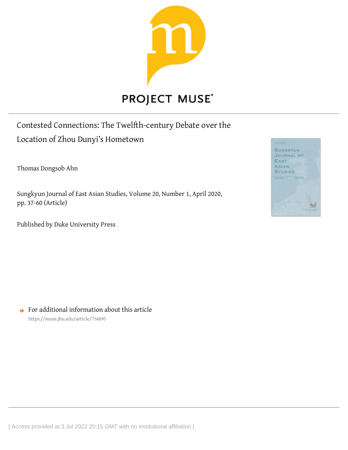

# Contested Connections: The Twelfth-century Debate over the Location of Zhou Dunyi's Hometown

Thomas Dongsob Ahn

Sungkyun Journal of East Asian Studies, Volume 20, Number 1, April 2020, pp. 37-60 (Article)

Published by Duke University Press



 $\rightarrow$  For additional information about this article <https://muse.jhu.edu/article/756095>

[ Access provided at 3 Jul 2022 20:15 GMT with no institutional affiliation ]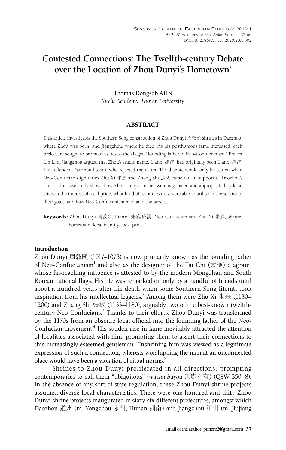# **Contested Connections: The Twelfth-century Debate over the Location of Zhou Dunyi's Hometown\***

Thomas Dongsob AHN *Yuelu Academy, Hunan University*

#### ABSTRACT

This article investigates the Southern Song construction of Zhou Dunyi 周敦頤 shrines in Daozhou, where Zhou was born, and Jiangzhou, where he died. As his posthumous fame increased, each prefecture sought to promote its ties to the alleged "founding father of Neo-Confucianism." Prefect Lin Li of Jiangzhou argued that Zhou's studio name, Lianxi 濂溪, had originally been Lianxi 廉溪. This offended Daozhou literati, who rejected the claim. The dispute would only be settled when Neo-Confucian dignitaries Zhu Xi 朱熹 and Zhang Shi 張栻 came out in support of Daozhou's cause. This case study shows how Zhou Dunyi shrines were negotiated and appropriated by local elites in the interest of local pride, what kind of resources they were able to utilise in the service of their goals, and how Neo-Confucianism mediated the process.

Keywords: Zhou Dunyi 周敦頤, Lianxi 濂溪/廉溪, Neo-Confucianism, Zhu Xi 朱熹, shrine, hometown, local identity, local pride.

#### Introduction

Zhou Dunyi 周敦頤 (1017–1073) is now primarily known as the founding father of Neo-Confucianism $^{\text{1}}$  and also as the designer of the Tai Chi (太極) diagram, whose far-reaching influence is attested to by the modern Mongolian and South Korean national flags. His life was remarked on only by a handful of friends until about a hundred years after his death when some Southern Song literati took inspiration from his intellectual legacies.<sup>2</sup> Among them were Zhu Xi 朱熹 (1130– 1200) and Zhang Shi 張栻 (1133–1180), arguably two of the best-known twelfthcentury Neo-Confucians.<sup>3</sup> Thanks to their efforts, Zhou Dunyi was transformed by the 1170s from an obscure local official into the founding father of the Neo-Confucian movement.<sup>4</sup> His sudden rise in fame inevitably attracted the attention of localities associated with him, prompting them to assert their connections to this increasingly esteemed gentleman. Enshrining him was viewed as a legitimate expression of such a connection, whereas worshipping the man at an unconnected place would have been a violation of ritual norms.<sup>5</sup>

Shrines to Zhou Dunyi proliferated in all directions, prompting contemporaries to call them "ubiquitous" (*wuchu buyou* 無處不有) (QSW 350: 8). In the absence of any sort of state regulation, these Zhou Dunyi shrine projects assumed diverse local characteristics. There were one-hundred-and-thity Zhou Dunyi shrine projects inaugurated in sixty-six different prefectures, amongst which Daozhou 道州 (m. Yongzhou 永州, Hunan 湖南) and Jiangzhou 江州 (m. Jiujiang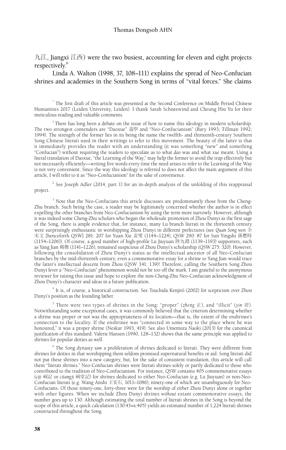九江, Jiangxi 江西) were the two busiest, accounting for eleven and eight projects respectively.<sup>6</sup>

Linda A. Walton (1998, 37, 108–111) explains the spread of Neo-Confucian shrines and academies in the Southern Song in terms of "vital forces." She claims

\* The first draft of this article was presented at the Second Conference on Middle Period Chinese Humanities 2017 (Leiden University, Leiden). I thank Sarah Schneewind and Cheung Hiu Yu for their meticulous reading and valuable comments.

 $1$ <sup>1</sup> There has long been a debate on the issue of how to name this ideology in modern scholarship. The two strongest contenders are "Daoxue" 道學 and "Neo-Confucianism" (Bary 1993; Tillman 1992; 1994). The strength of the former lies in its being the name the twelfth- and thirteenth-century Southern Song Chinese literati used in their writings to refer to this movement. The beauty of the latter is that it immediately provides the reader with an understanding (it was something "new" and something "Confucian") without requiring the readers to speculate as to what *dao* was and what *xue* meant. Using a literal translation of Daoxue, "the Learning of the Way," may help the former to avoid the trap effectively but not necessarily efficiently—writing five words every time the need arises to refer to the Learning of the Way is not very convenient. Since the way this ideology is referred to does not affect the main argument of this article, I will refer to it as "Neo-Confucianism" for the sake of convenience.

 $2^{2}$  See Joseph Adler (2014, part 1) for an in-depth analysis of the unfolding of this reappraisal project.

<sup>3</sup> Note that the Neo-Confucians this article discusses are predominantly those from the Cheng-Zhu branch. Such being the case, a reader may be legitimately concerned whether the author is in effect expelling the other branches from Neo-Confucianism by using the term more narrowly. However, although it was indeed some Cheng-Zhu scholars who began the wholesale promotion of Zhou Dunyi as the first sage of the Song, there is ample evidence that, for instance, many Lu branch literati in the thirteenth century were surprisingly enthusiastic in worshipping Zhou Dunyi in different prefectures (see *Quan Song wen* 全 宋文 [henceforth QSW] 281: 207 for Yuan Xie 袁燮 (1144–1224), QSW 290: 87 for Sun Yingshi 孫應時 (1154–1206)). Of course, a good number of high-profile Lu Jiuyuan 陸九淵 (1139–1193) supporters, such as Yang Jian 楊簡 (1141–1226), remained suspicious of Zhou Dunyi's scholarship (QSW 275: 320). However, following the consolidation of Zhou Dunyi's status as the intellectual ancestor of *all* Neo-Confucian branches by the mid-thirteenth century, even a commemorative essay for a shrine to Yang Jian would trace the latter's intellectual descent from Zhou (QSW 341: 139)! Therefore, calling the Southern Song Zhou Dunyi fever a "Neo-Confucian" phenomenon would not be too off the mark. I am grateful to the anonymous reviewer for raising this issue and hope to explore the non-Cheng-Zhu Neo-Confucian acknowledgment of Zhou Dunyi's character and ideas in a future publication.

<sup>4</sup> It is, of course, a historical construction. See Tsuchida Kenjirō (2002) for scepticism over Zhou Dunyi's position as the founding father.

5 There were two types of shrines in the Song: "proper" (*zheng* 正), and "illicit" (*yin* 淫). Notwithstanding some exceptional cases, it was commonly believed that the criterion determining whether a shrine was proper or not was the appropriateness of its location—that is, the extent of the enshrinee's connection to the locality. If the enshrinee was "connected in some way to the place where he was honoured," it was a proper shrine (Neskar 1993, 419). See also Umemura Naoki (2013) for the canonical justification of this standard. Valerie Hansen (1990, 128–132) shows that the same principle was applied to shrines for popular deities as well.

<sup>6</sup> The Song dynasty saw a proliferation of shrines dedicated to literati. They were different from shrines for deities in that worshipping them seldom promised supernatural benefits or aid. Song literati did not put these shrines into a new category, but, for the sake of consistent translation, this article will call them "literati shrines." Neo-Confucian shrines were literati shrines solely or partly dedicated to those who contributed to the tradition of Neo-Confucianism. For instance, QSW contains 405 commemorative essays (*ciji* 祠記 or *citangji* 祠堂記) for shrines dedicated to either Neo-Confucian (e.g. Lu Jiuyuan) or non-Neo-Confucian literati (e.g. Wang Anshi 王安石, 1011–1086), ninety-one of which are unambiguously for Neo-Confucians. Of those ninety-one, forty-three were for the worship of either Zhou Dunyi alone or together with other figures. When we include Zhou Dunyi shrines *without* extant commemorative essays, the number goes up to 130. Although estimating the total number of literati shrines in the Song is beyond the scope of this article, a quick calculation (130:43=x:405) yields an estimated number of 1,224 literati shrines constructed throughout the Song.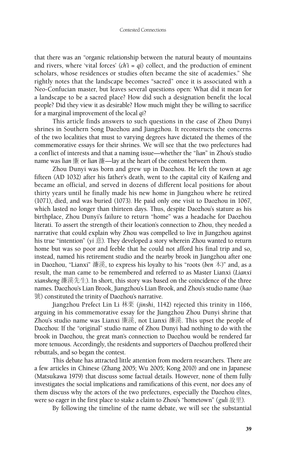that there was an "organic relationship between the natural beauty of mountains and rivers, where 'vital forces' (*ch'i* = *qi*) collect, and the production of eminent scholars, whose residences or studies often became the site of academies." She rightly notes that the landscape becomes "sacred" once it is associated with a Neo-Confucian master, but leaves several questions open: What did it mean for a landscape to be a sacred place? How did such a designation benefit the local people? Did they view it as desirable? How much might they be willing to sacrifice for a marginal improvement of the local *qi*?

This article finds answers to such questions in the case of Zhou Dunyi shrines in Southern Song Daozhou and Jiangzhou. It reconstructs the concerns of the two localities that must to varying degrees have dictated the themes of the commemorative essays for their shrines. We will see that the two prefectures had a conflict of interests and that a naming issue—whether the "*lian*" in Zhou's studio name was *lian* 廉 or *lian* 濂—lay at the heart of the contest between them.

Zhou Dunyi was born and grew up in Daozhou. He left the town at age fifteen (AD 1032) after his father's death, went to the capital city of Kaifeng and became an official, and served in dozens of different local positions for about thirty years until he finally made his new home in Jiangzhou where he retired (1071), died, and was buried (1073). He paid only one visit to Daozhou in 1067, which lasted no longer than thirteen days. Thus, despite Daozhou's stature as his birthplace, Zhou Dunyi's failure to return "home" was a headache for Daozhou literati. To assert the strength of their location's connection to Zhou, they needed a narrative that could explain why Zhou was compelled to live in Jiangzhou against his true "intention" (*yi* 意). They developed a story wherein Zhou wanted to return home but was so poor and feeble that he could not afford his final trip and so, instead, named his retirement studio and the nearby brook in Jiangzhou after one in Daozhou, "Lianxi" 濂溪, to express his loyalty to his "roots (*ben* 本)" and, as a result, the man came to be remembered and referred to as Master Lianxi (*Lianxi xiansheng* 濂溪先生). In short, this story was based on the coincidence of the three names. Daozhou's Lian Brook, Jiangzhou's Lian Brook, and Zhou's studio name (*hao* 號) constituted the trinity of Daozhou's narrative.

Jiangzhou Prefect Lin Li 林栗 (*jinshi*, 1142) rejected this trinity in 1166, arguing in his commemorative essay for the Jiangzhou Zhou Dunyi shrine that Zhou's studio name was Lianxi 廉溪, not Lianxi 濂溪. This upset the people of Daozhou: If the "original" studio name of Zhou Dunyi had nothing to do with the brook in Daozhou, the great man's connection to Daozhou would be rendered far more tenuous. Accordingly, the residents and supporters of Daozhou proffered their rebuttals, and so began the contest.

This debate has attracted little attention from modern researchers. There are a few articles in Chinese (Zhang 2005; Wu 2005; Kong 2010) and one in Japanese (Matsukawa 1979) that discuss some factual details. However, none of them fully investigates the social implications and ramifications of this event, nor does any of them discuss why the actors of the two prefectures, especially the Daozhou elites, were so eager in the first place to stake a claim to Zhou's "hometown" (*guli* 故里).

By following the timeline of the name debate, we will see the substantial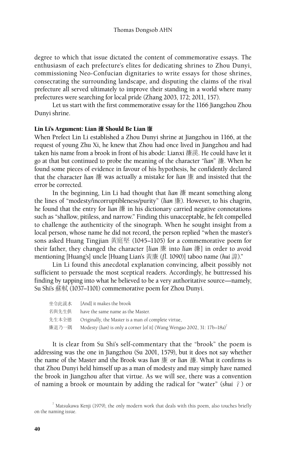degree to which that issue dictated the content of commemorative essays. The enthusiasm of each prefecture's elites for dedicating shrines to Zhou Dunyi, commissioning Neo-Confucian dignitaries to write essays for those shrines, consecrating the surrounding landscape, and disputing the claims of the rival prefecture all served ultimately to improve their standing in a world where many prefectures were searching for local pride (Zhang 2003, 172; 2011, 157).

Let us start with the first commemorative essay for the 1166 Jiangzhou Zhou Dunyi shrine.

## Lin Li's Argument: Lian 濂 Should Be Lian 廉

When Prefect Lin Li established a Zhou Dunyi shrine at Jiangzhou in 1166, at the request of young Zhu Xi, he knew that Zhou had once lived in Jiangzhou and had taken his name from a brook in front of his abode: Lianxi 濂溪. He could have let it go at that but continued to probe the meaning of the character "*lian*" 濂. When he found some pieces of evidence in favour of his hypothesis, he confidently declared that the character *lian* 濂 was actually a mistake for *lian* 廉 and insisted that the error be corrected.

In the beginning, Lin Li had thought that *lian* 濂 meant something along the lines of "modesty/incorruptibleness/purity" (*lian* 廉). However, to his chagrin, he found that the entry for *lian* 濂 in his dictionary carried negative connotations such as "shallow, pitiless, and narrow." Finding this unacceptable, he felt compelled to challenge the authenticity of the sinograph. When he sought insight from a local person, whose name he did not record, the person replied "when the master's sons asked Huang Tingjian 黃庭堅 (1045–1105) for a commemorative poem for their father, they changed the character [*lian* 廉 into *lian* 濂] in order to avoid mentioning [Huang's] uncle [Huang Lian's 黃廉 (*fl.* 1090)] taboo name (*hui* 諱)."

Lin Li found this anecdotal explanation convincing, albeit possibly not sufficient to persuade the most sceptical readers. Accordingly, he buttressed his finding by tapping into what he believed to be a very authoritative source—namely, Su Shi's 蘇軾 (1037–1101) commemorative poem for Zhou Dunyi.

| 坐令此溪水 | [And] it makes the brook                                                |
|-------|-------------------------------------------------------------------------|
| 名與先生俱 | have the same name as the Master.                                       |
| 先生本全徳 | Originally, the Master is a man of complete virtue,                     |
| 廉退乃一隅 | Modesty (lian) is only a corner [of it] (Wang Wengao 2002, 31: 17b-18a) |

It is clear from Su Shi's self-commentary that the "brook" the poem is addressing was the one in Jiangzhou (Su 2001, 1579), but it does not say whether the name of the Master and the Brook was *lian* 廉 or *lian* 濂. What it confirms is that Zhou Dunyi held himself up as a man of modesty and may simply have named the brook in Jiangzhou after that virtue. As we will see, there was a convention of naming a brook or mountain by adding the radical for "water" (*shui* 氵) or

 $^7$  Matsukawa Kenji (1979), the only modern work that deals with this poem, also touches briefly on the naming issue.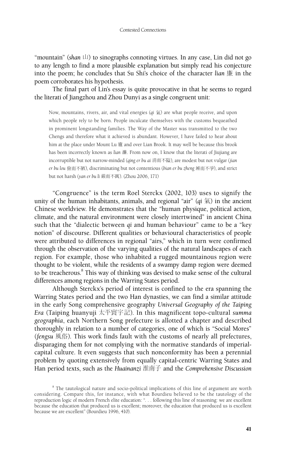"mountain" (shan  $\Box$ ) to sinographs connoting virtues. In any case, Lin did not go to any length to find a more plausible explanation but simply read his conjecture into the poem; he concludes that Su Shi's choice of the character *lian* 廉 in the poem corroborates his hypothesis.

The final part of Lin's essay is quite provocative in that he seems to regard the literati of Jiangzhou and Zhou Dunyi as a single congruent unit:

Now, mountains, rivers, air, and vital energies (*qi* 氣) are what people receive, and upon which people rely to be born. People inculcate themselves with the customs bequeathed in prominent longstanding families. The Way of the Master was transmitted to the two Chengs and therefore what it achieved is abundant. However, I have failed to hear about him at the place under Mount Lu 廬 and over Lian Brook. It may well be because this brook has been incorrectly known as *lian* 濂. From now on, I know that the literati of Jiujiang are incorruptible but not narrow-minded (*qing er bu ai* 清而不隘), are modest but not vulgar (*jian er bu lou* 儉而不陋), discriminating but not contentious (*bian er bu zheng* 辨而不爭), and strict but not harsh (*yan er bu li* 嚴而不厲). (Zhou 2006, 171)

"Congruence" is the term Roel Sterckx (2002, 103) uses to signify the unity of the human inhabitants, animals, and regional "air" (*qi* 氣) in the ancient Chinese worldview. He demonstrates that the "human physique, political action, climate, and the natural environment were closely intertwined" in ancient China such that the "dialectic between *qi* and human behaviour" came to be a "key notion" of discourse. Different qualities or behavioural characteristics of people were attributed to differences in regional "airs," which in turn were confirmed through the observation of the varying qualities of the natural landscapes of each region. For example, those who inhabited a rugged mountainous region were thought to be violent, while the residents of a swampy damp region were deemed to be treacherous.<sup>8</sup> This way of thinking was devised to make sense of the cultural differences among regions in the Warring States period.

Although Sterckx's period of interest is confined to the era spanning the Warring States period and the two Han dynasties, we can find a similar attitude in the early Song comprehensive geography *Universal Geography of the Taiping Era* (Taiping huanyuji 太平寰宇記). In this magnificent topo-cultural *summa geographia*, each Northern Song prefecture is allotted a chapter and described thoroughly in relation to a number of categories, one of which is "Social Mores" (*fengsu* 風俗). This work finds fault with the customs of nearly all prefectures, disparaging them for not complying with the normative standards of imperialcapital culture. It even suggests that such nonconformity has been a perennial problem by quoting extensively from equally capital-centric Warring States and Han period texts, such as the *Huainanzi* 淮南子 and the *Comprehensive Discussion* 

<sup>&</sup>lt;sup>8</sup> The tautological nature and socio-political implications of this line of argument are worth considering. Compare this, for instance, with what Bourdieu believed to be the tautology of the reproduction logic of modern French elite education: ". . . following this line of reasoning: we are excellent because the education that produced us is excellent; moreover, the education that produced us is excellent because we are excellent" (Bourdieu 1996, 410).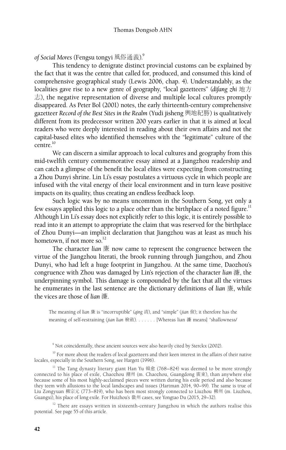*of Social Mores* (Fengsu tongyi 風俗通義).9

This tendency to denigrate distinct provincial customs can be explained by the fact that it was the centre that called for, produced, and consumed this kind of comprehensive geographical study (Lewis 2006, chap. 4). Understandably, as the localities gave rise to a new genre of geography, "local gazetteers" (*difang zhi* 地方  $\pm$ ), the negative representation of diverse and multiple local cultures promptly disappeared. As Peter Bol (2001) notes, the early thirteenth-century comprehensive gazetteer *Record of the Best Sites in the Realm* (Yudi jisheng 輿地紀勝) is qualitatively different from its predecessor written 200 years earlier in that it is aimed at local readers who were deeply interested in reading about their own affairs and not the capital-based elites who identified themselves with the "legitimate" culture of the  $centre$ <sup>10</sup>

We can discern a similar approach to local cultures and geography from this mid-twelfth century commemorative essay aimed at a Jiangzhou readership and can catch a glimpse of the benefit the local elites were expecting from constructing a Zhou Dunyi shrine. Lin Li's essay postulates a virtuous cycle in which people are infused with the vital energy of their local environment and in turn leave positive impacts on its quality, thus creating an endless feedback loop.

Such logic was by no means uncommon in the Southern Song, yet only a few essays applied this logic to a place other than the birthplace of a noted figure.<sup>11</sup> Although Lin Li's essay does not explicitly refer to this logic, it is entirely possible to read into it an attempt to appropriate the claim that was reserved for the birthplace of Zhou Dunyi—an implicit declaration that Jiangzhou was at least as much his hometown, if not more so.<sup>12</sup>

The character *lian* 廉 now came to represent the congruence between the virtue of the Jiangzhou literati, the brook running through Jiangzhou, and Zhou Dunyi, who had left a huge footprint in Jiangzhou. At the same time, Daozhou's congruence with Zhou was damaged by Lin's rejection of the character *lian* 濂, the underpinning symbol. This damage is compounded by the fact that all the virtues he enumerates in the last sentence are the dictionary definitions of *lian* 廉, while the vices are those of *lian* 濂.

The meaning of *lian* 廉 is "incorruptible" (*qing* 清), and "simple" (*jian* 儉); it therefore has the meaning of self-restraining (*jian lian* 檢斂). . . . . . . [Whereas lian 濂 means] "shallowness/

 $^{10}$  For more about the readers of local gazetteers and their keen interest in the affairs of their native locales, especially in the Southern Song, see Hargett (1996).

<sup>11</sup> The Tang dynasty literary giant Han Yu 韓愈 (768–824) was deemed to be more strongly connected to his place of exile, Chaozhou 潮州 (m. Chaozhou, Guangdong 廣東), than anywhere else because some of his most highly-acclaimed pieces were written during his exile period and also because they teem with allusions to the local landscapes and issues (Hartman 2014, 90–99). The same is true of Liu Zongyuan 柳宗元 (773–819), who has been most strongly connected to Liuzhou 柳州 (m. Liuzhou, Guangxi), his place of long exile. For Huizhou's 徽州 cases, see Yongtao Du (2015, 29–32).

<sup>12</sup> There are essays written in sixteenth-century Jiangzhou in which the authors realise this potential. See page 55 of this article.

<sup>&</sup>lt;sup>9</sup> Not coincidentally, these ancient sources were also heavily cited by Sterckx (2002).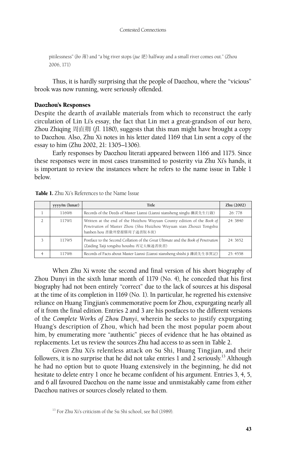pitilessness" (*bo* 薄) and "a big river stops (*jue* 絕) halfway and a small river comes out." (Zhou 2006, 171)

Thus, it is hardly surprising that the people of Daozhou, where the "vicious" brook was now running, were seriously offended.

## Daozhou's Responses

Despite the dearth of available materials from which to reconstruct the early circulation of Lin Li's essay, the fact that Lin met a great-grandson of our hero, Zhou Zhiqing 周直卿 (*fl*. 1180), suggests that this man might have brought a copy to Daozhou. Also, Zhu Xi notes in his letter dated 1169 that Lin sent a copy of the essay to him (Zhu 2002, 21: 1305–1306).

Early responses by Daozhou literati appeared between 1166 and 1175. Since these responses were in most cases transmitted to posterity via Zhu Xi's hands, it is important to review the instances where he refers to the name issue in Table 1 below.

| yyyy/m (lunar) | <b>Title</b>                                                                                                                                                              | Zhu (2002) |
|----------------|---------------------------------------------------------------------------------------------------------------------------------------------------------------------------|------------|
| 1169/6         | Records of the Deeds of Master Lianxi (Lianxi xiansheng xinglu 濂溪先生行錄)                                                                                                    | 26:778     |
| 1179/1         | Written at the end of the Huizhou Wuyuan County edition of the Book of<br>Penetration of Master Zhou (Shu Huizhou Wuyuan xian Zhouzi Tongshu<br>banben hou 書徽州婺源縣周子通書版本後) | 24: 3840   |
| 1179/5         | Postface to the Second Collation of the Great Ultimate and the Book of Penetration<br>(Zaiding Taiji tongshu houshu 再定太極通書後書)                                             | 24: 3652   |
| 1179/6         | Records of Facts about Master Lianxi (Lianxi xiansheng shishi ji 濂溪先生事實記)                                                                                                 | 25: 4558   |

#### Table 1. Zhu Xi's References to the Name Issue

When Zhu Xi wrote the second and final version of his short biography of Zhou Dunyi in the sixth lunar month of 1179 (No. 4), he conceded that his first biography had not been entirely "correct" due to the lack of sources at his disposal at the time of its completion in 1169 (No. 1). In particular, he regretted his extensive reliance on Huang Tingjian's commemorative poem for Zhou, expurgating nearly all of it from the final edition. Entries 2 and 3 are his postfaces to the different versions of the *Complete Works of Zhou Dunyi*, wherein he seeks to justify expurgating Huang's description of Zhou, which had been the most popular poem about him, by enumerating more "authentic" pieces of evidence that he has obtained as replacements. Let us review the sources Zhu had access to as seen in Table 2.

Given Zhu Xi's relentless attack on Su Shi, Huang Tingjian, and their followers, it is no surprise that he did not take entries 1 and  $2$  seriously.<sup>13</sup> Although he had no option but to quote Huang extensively in the beginning, he did not hesitate to delete entry 1 once he became confident of his argument. Entries 3, 4, 5, and 6 all favoured Daozhou on the name issue and unmistakably came from either Daozhou natives or sources closely related to them.

<sup>&</sup>lt;sup>13</sup> For Zhu Xi's criticism of the Su Shi school, see Bol (1989).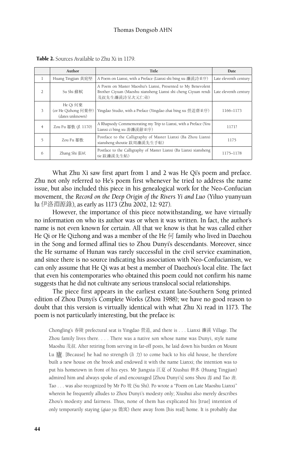|                | Author                                             | Title                                                                                                                                           | Date                  |
|----------------|----------------------------------------------------|-------------------------------------------------------------------------------------------------------------------------------------------------|-----------------------|
| $\mathbf{1}$   | Huang Tingjian 黃庭堅                                 | A Poem on Lianxi, with a Preface (Lianxi shi bing xu 濂溪詩並序)                                                                                     | Late eleventh century |
| $\mathfrak{D}$ | Su Shi 蘇軾                                          | A Poem on Master Maoshu's Lianxi, Presented to My Benevolent<br>Brother Ciyuan (Maoshu xiansheng Lianxi shi cheng Ciyuan rendi<br>茂叔先生濂溪詩呈次元仁弟) | Late eleventh century |
| 3              | He Qi 何棄<br>(or He Qizhong 何棄仲)<br>(dates unknown) | Yingdao Studio, with a Preface (Yingdao zhai bing xu 營道齋並序)                                                                                     | 1166-1173             |
| $\overline{4}$ | Zou Fu 鄒敷 (fl. 1170)                               | A Rhapsody Commemorating my Trip to Lianxi, with a Preface (You<br>Lianxi ci bing xu 游濂溪辭並序)                                                    | 1171?                 |
| 5              | Zou Fu 鄒敷                                          | Postface to the Calligraphy of Master Lianxi (Ba Zhou Lianxi<br>xiansheng shoutie 跋周濂溪先生手帖)                                                     | 1175                  |
| 6              | Zhang Shi 張栻                                       | Postface to the Calligraphy of Master Lianxi (Ba Lianxi xiansheng<br>tie 跋濂溪先生帖)                                                                | 1175-1178             |

Table 2. Sources Available to Zhu Xi in 1179.

What Zhu Xi saw first apart from 1 and 2 was He Qi's poem and preface. Zhu not only referred to He's poem first whenever he tried to address the name issue, but also included this piece in his genealogical work for the Neo-Confucian movement, the *Record on the Deep Origin of the Rivers Yi and Luo* (Yiluo yuanyuan lu 伊洛淵源錄), as early as 1173 (Zhu 2002, 12: 927).

However, the importance of this piece notwithstanding, we have virtually no information on who its author was or when it was written. In fact, the author's name is not even known for certain. All that we know is that he was called either He Qi or He Qizhong and was a member of the He  $\Box$  family who lived in Daozhou in the Song and formed affinal ties to Zhou Dunyi's descendants. Moreover, since the He surname of Hunan was rarely successful in the civil service examination, and since there is no source indicating his association with Neo-Confucianism, we can only assume that He Qi was at best a member of Daozhou's local elite. The fact that even his contemporaries who obtained this poem could not confirm his name suggests that he did not cultivate any serious translocal social relationships.

The piece first appears in the earliest extant late-Southern Song printed edition of Zhou Dunyi's Complete Works (Zhou 1988); we have no good reason to doubt that this version is virtually identical with what Zhu Xi read in 1173. The poem is not particularly interesting, but the preface is:

Chongling's 舂陵 prefectural seat is Yingdao 營道, and there is . . . Lianxi 濂溪 Village. The Zhou family lives there. . . . There was a native son whose name was Dunyi, style name Maoshu 茂叔. After retiring from serving in far-off posts, he laid down his burden on Mount Lu 廬. [Because] he had no strength  $(l_i \pi)$  to come back to his old house, he therefore built a new house on the brook and endowed it with the name Lianxi; the intention was to put his hometown in front of his eyes. Mr Jiangxia 江夏 of Xiushui 修水 (Huang Tingjian) admired him and always spoke of and encouraged [Zhou Dunyi's] sons Shou 壽 and Tao 燾. Tao . . . was also recognized by Mr Po 坡 (Su Shi). Po wrote a "Poem on Late Maoshu Lianxi" wherein he frequently alludes to Zhou Dunyi's modesty only; Xiushui also merely describes Zhou's modesty and fairness. Thus, none of them has explicated his [true] intention of only temporarily staying (*qiao yu* 僑寓) there away from [his real] home. It is probably due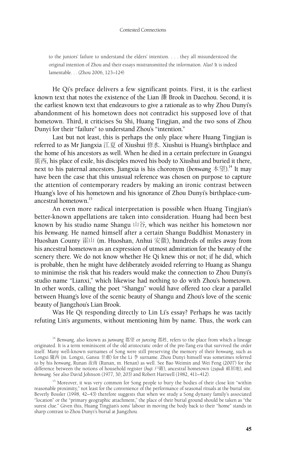to the juniors' failure to understand the elders' intention. . . . they all misunderstood the original intention of Zhou and their essays mistransmitted the information. Alas! It is indeed lamentable. . . (Zhou 2006, 123–124)

He Qi's preface delivers a few significant points. First, it is the earliest known text that notes the existence of the Lian 濂 Brook in Daozhou. Second, it is the earliest known text that endeavours to give a rationale as to why Zhou Dunyi's abandonment of his hometown does not contradict his supposed love of that hometown. Third, it criticises Su Shi, Huang Tingjian, and the two sons of Zhou Dunyi for their "failure" to understand Zhou's "intention."

Last but not least, this is perhaps the only place where Huang Tingjian is referred to as Mr Jiangxia 江夏 of Xiushui 修水. Xiushui is Huang's birthplace and the home of his ancestors as well. When he died in a certain prefecture in Guangxi 廣西, his place of exile, his disciples moved his body to Xiushui and buried it there, next to his paternal ancestors. Jiangxia is his choronym (*benwang* 本望).14 It may have been the case that this unusual reference was chosen on purpose to capture the attention of contemporary readers by making an ironic contrast between Huang's love of his hometown and his ignorance of Zhou Dunyi's birthplace-cumancestral hometown.<sup>15</sup>

An even more radical interpretation is possible when Huang Tingjian's better-known appellations are taken into consideration. Huang had been best known by his studio name Shangu 山谷, which was neither his hometown nor his *benwang*. He named himself after a certain Shangu Buddhist Monastery in Huoshan County 霍山 (m. Huoshan, Anhui 安徽), hundreds of miles away from his ancestral hometown as an expression of utmost admiration for the beauty of the scenery there. We do not know whether He Qi knew this or not; if he did, which is probable, then he might have deliberately avoided referring to Huang as Shangu to minimise the risk that his readers would make the connection to Zhou Dunyi's studio name "Lianxi," which likewise had nothing to do with Zhou's hometown. In other words, calling the poet "Shangu" would have offered too clear a parallel between Huang's love of the scenic beauty of Shangu and Zhou's love of the scenic beauty of Jiangzhou's Lian Brook.

Was He Qi responding directly to Lin Li's essay? Perhaps he was tacitly refuting Lin's arguments, without mentioning him by name. Thus, the work can

<sup>14</sup> Benwang, also known as *junwang* 郡望 or *junxing* 郡姓, refers to the place from which a lineage originated. It is a term reminiscent of the old aristocratic order of the pre-Tang era that survived the order itself. Many well-known surnames of Song were still preserving the memory of their *benwang*, such as Longxi 隴西 (m. Longxi, Gansu 甘肅) for the Li 李 surname. Zhou Dunyi himself was sometimes referred to by his *benwang*, Runan 汝南 (Runan, m. Henan) as well. See Bao Weimin and Wei Feng (2007) for the difference between the notions of household register (*huji* 戸籍), ancestral hometown (*zujudi* 祖居地), and *benwang*. See also David Johnson (1977, 30; 203) and Robert Hartwell (1982, 411–412).

<sup>15</sup> Moreover, it was very common for Song people to bury the bodies of their close kin "within reasonable proximity," not least for the convenience of the performance of seasonal rituals at the burial site. Beverly Bossler (1998, 42–43) therefore suggests that when we study a Song dynasty family's associated "location" or the "primary geographic attachment," the place of their burial ground should be taken as "the surest clue." Given this, Huang Tingjian's sons' labour in moving the body back to their "home" stands in sharp contrast to Zhou Dunyi's burial at Jiangzhou.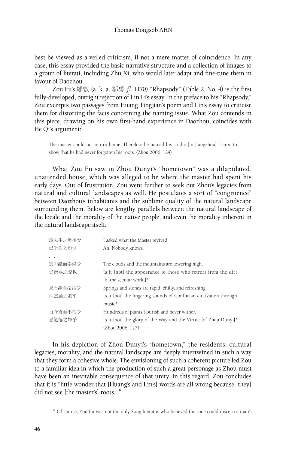best be viewed as a veiled criticism, if not a mere matter of coincidence. In any case, this essay provided the basic narrative structure and a collection of images to a group of literati, including Zhu Xi, who would later adapt and fine-tune them in favour of Daozhou.

Zou Fu's 鄒敷 (a. k. a. 鄒旉, *fl.* 1170) "Rhapsody" (Table 2, No. 4) is the first fully-developed, outright rejection of Lin Li's essay. In the preface to his "Rhapsody," Zou excerpts two passages from Huang Tingjian's poem and Lin's essay to criticise them for distorting the facts concerning the naming issue. What Zou contends in this piece, drawing on his own first-hand experience in Daozhou, coincides with He Qi's argument:

The master could not return home. Therefore he named his studio [in Jiangzhou] Lianxi to show that he had never forgotten his roots. (Zhou 2006, 124)

What Zou Fu saw in Zhou Dunyi's "hometown" was a dilapidated, unattended house, which was alleged to be where the master had spent his early days. Out of frustration, Zou went further to seek out Zhou's legacies from natural and cultural landscapes as well. He postulates a sort of "congruence" between Daozhou's inhabitants and the sublime quality of the natural landscape surrounding them. Below are lengthy parallels between the natural landscape of the locale and the morality of the native people, and even the morality inherent in the natural landscape itself:

| 諏先生之所復兮 | I asked what the Master revived.                                  |
|---------|-------------------------------------------------------------------|
| 已乎莫之知也  | Ah! Nobody knows.                                                 |
|         |                                                                   |
| 雲山矗而崇崇兮 | The clouds and the mountains are towering high.                   |
| 豈絶塵之姿也  | Is it [not] the appearance of those who retreat from the dirt     |
|         | [of the secular world]?                                           |
| 泉石激而泠泠兮 | Springs and stones are rapid, chilly, and refreshing.             |
| 抑玄誦之遺乎  | Is it [not] the lingering sounds of Confucian cultivation through |
|         | music?                                                            |
| 百卉秀而不枯兮 | Hundreds of plants flourish and never wither.                     |
| 豈道徳之輝乎  | Is it [not] the glory of the Way and the Virtue [of Zhou Dunyi]?  |
|         | (Zhou 2006, 125)                                                  |

In his depiction of Zhou Dunyi's "hometown," the residents, cultural legacies, morality, and the natural landscape are deeply intertwined in such a way that they form a cohesive whole. The envisioning of such a coherent picture led Zou to a familiar idea in which the production of such a great personage as Zhou must have been an inevitable consequence of that unity. In this regard, Zou concludes that it is "little wonder that [Huang's and Lin's] words are all wrong because [they] did not see [the master's] roots."<sup>16</sup>

<sup>&</sup>lt;sup>16</sup> Of course, Zou Fu was not the only Song literatus who believed that one could discern a man's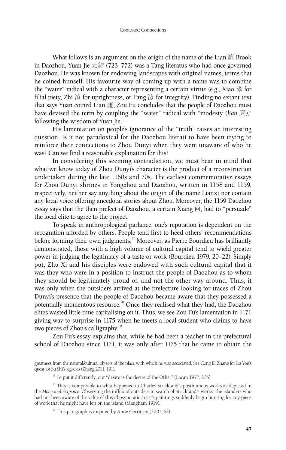What follows is an argument on the origin of the name of the Lian 濂 Brook in Daozhou. Yuan Jie 元結 (723–772) was a Tang literatus who had once governed Daozhou. He was known for endowing landscapes with original names, terms that he coined himself. His favourite way of coming up with a name was to combine the "water" radical with a character representing a certain virtue (e.g., Xiao 涍 for filial piety, Zhi 淔 for uprightness, or Fang 汸 for integrity). Finding no extant text that says Yuan coined Lian 濂, Zou Fu concludes that the people of Daozhou must have devised the term by coupling the "water" radical with "modesty (*lian* 廉)," following the wisdom of Yuan Jie.

His lamentation on people's ignorance of the "truth" raises an interesting question. Is it not paradoxical for the Daozhou literati to have been trying to reinforce their connections to Zhou Dunyi when they were unaware of who he was? Can we find a reasonable explanation for this?

In considering this seeming contradiction, we must bear in mind that what we know today of Zhou Dunyi's character is the product of a reconstruction undertaken during the late 1160s and 70s. The earliest commemorative essays for Zhou Dunyi shrines in Yongzhou and Daozhou, written in 1158 and 1159, respectively, neither say anything about the origin of the name Lianxi nor contain any local voice offering anecdotal stories about Zhou. Moreover, the 1159 Daozhou essay says that the then prefect of Daozhou, a certain Xiang 向, had to "persuade" the local elite to agree to the project.

To speak in anthropological parlance, one's reputation is dependent on the recognition afforded by others. People tend first to heed others' recommendations before forming their own judgments.17 Moreover, as Pierre Bourdieu has brilliantly demonstrated, those with a high volume of cultural capital tend to wield greater power in judging the legitimacy of a taste or work (Bourdieu 1979, 20–22). Simply put, Zhu Xi and his disciples were endowed with such cultural capital that it was they who were in a position to instruct the people of Daozhou as to whom they should be legitimately proud of, and not the other way around. Thus, it was only when the outsiders arrived at the prefecture looking for traces of Zhou Dunyi's presence that the people of Daozhou became aware that they possessed a potentially momentous resource.18 Once they realised what they had, the Daozhou elites wasted little time capitalising on it. Thus, we see Zou Fu's lamentation in 1171 giving way to surprise in 1175 when he meets a local student who claims to have two pieces of Zhou's calligraphy.<sup>19</sup>

Zou Fu's essay explains that, while he had been a teacher in the prefectural school of Daozhou since 1171, it was only after 1175 that he came to obtain the

greatness from the natural/cultural objects of the place with which he was associated. See Cong E. Zhang for Lu You's quest for Su Shi's legacies (Zhang 2011, 191).

<sup>&</sup>lt;sup>17</sup> To put it differently, our "desire is the desire of the Other" (Lacan 1977, 235).

<sup>&</sup>lt;sup>18</sup> This is comparable to what happened to Charles Strickland's posthumous works as depicted in the *Moon and Sixpence*. Observing the influx of outsiders in search of Strickland's works, the islanders who had not been aware of the value of this idiosyncratic artist's paintings suddenly begin hunting for any piece of work that he might have left on the island (Maugham 1919).

<sup>&</sup>lt;sup>19</sup> This paragraph is inspired by Anne Gerritsen (2007, 62).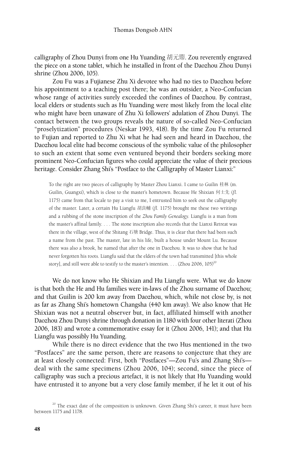calligraphy of Zhou Dunyi from one Hu Yuanding 胡元鼎. Zou reverently engraved the piece on a stone tablet, which he installed in front of the Daozhou Zhou Dunyi shrine (Zhou 2006, 105).

Zou Fu was a Fujianese Zhu Xi devotee who had no ties to Daozhou before his appointment to a teaching post there; he was an outsider, a Neo-Confucian whose range of activities surely exceeded the confines of Daozhou. By contrast, local elders or students such as Hu Yuanding were most likely from the local elite who might have been unaware of Zhu Xi followers' adulation of Zhou Dunyi. The contact between the two groups reveals the nature of so-called Neo-Confucian "proselytization" procedures (Neskar 1993, 418). By the time Zou Fu returned to Fujian and reported to Zhu Xi what he had seen and heard in Daozhou, the Daozhou local elite had become conscious of the symbolic value of the philosopher to such an extent that some even ventured beyond their borders seeking more prominent Neo-Confucian figures who could appreciate the value of their precious heritage. Consider Zhang Shi's "Postface to the Calligraphy of Master Lianxi:"

To the right are two pieces of calligraphy by Master Zhou Lianxi. I came to Guilin 桂林 (m. Guilin, Guangxi), which is close to the master's hometown. Because He Shixian 何士先 (*fl.* 1175) came from that locale to pay a visit to me, I entrusted him to seek out the calligraphy of the master. Later, a certain Hu Liangfu 胡良輔 (*fl.* 1175) brought me these two writings and a rubbing of the stone inscription of the *Zhou Family Genealogy*. Liangfu is a man from the master's affinal family. . . . The stone inscription also records that the Lianxi Retreat was there in the village, west of the Shitang 石塘 Bridge. Thus, it is clear that there had been such a name from the past. The master, late in his life, built a house under Mount Lu. Because there was also a brook, he named that after the one in Daozhou. It was to show that he had never forgotten his roots. Liangfu said that the elders of the town had transmitted [this whole story], and still were able to testify to the master's intention. . . . (Zhou 2006,  $105$ )<sup>20</sup>

We do not know who He Shixian and Hu Liangfu were. What we do know is that both the He and Hu families were in-laws of the Zhou surname of Daozhou; and that Guilin is 200 km away from Daozhou, which, while not close by, is not as far as Zhang Shi's hometown Changsha (440 km away). We also know that He Shixian was not a neutral observer but, in fact, affiliated himself with another Daozhou Zhou Dunyi shrine through donation in 1180 with four other literati (Zhou 2006, 183) and wrote a commemorative essay for it (Zhou 2006, 141); and that Hu Liangfu was possibly Hu Yuanding.

While there is no direct evidence that the two Hus mentioned in the two "Postfaces" are the same person, there are reasons to conjecture that they are at least closely connected: First, both "Postfaces"—Zou Fu's and Zhang Shi's deal with the same specimens (Zhou 2006, 104); second, since the piece of calligraphy was such a precious artefact, it is not likely that Hu Yuanding would have entrusted it to anyone but a very close family member, if he let it out of his

 $20$  The exact date of the composition is unknown. Given Zhang Shi's career, it must have been between 1175 and 1178.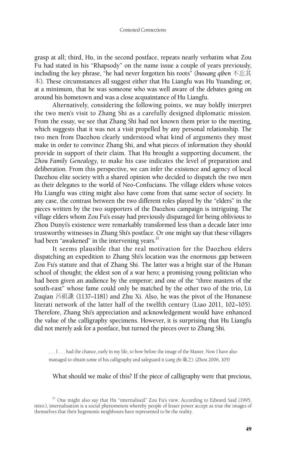grasp at all; third, Hu, in the second postface, repeats nearly verbatim what Zou Fu had stated in his "Rhapsody" on the name issue a couple of years previously, including the key phrase, "he had never forgotten his roots" (*buwang qiben* 不忘其 本). These circumstances all suggest either that Hu Liangfu was Hu Yuanding; or, at a minimum, that he was someone who was well aware of the debates going on around his hometown and was a close acquaintance of Hu Liangfu.

Alternatively, considering the following points, we may boldly interpret the two men's visit to Zhang Shi as a carefully designed diplomatic mission. From the essay, we see that Zhang Shi had not known them prior to the meeting, which suggests that it was not a visit propelled by any personal relationship. The two men from Daozhou clearly understood what kind of arguments they must make in order to convince Zhang Shi, and what pieces of information they should provide in support of their claim. That Hu brought a supporting document, the *Zhou Family Genealogy*, to make his case indicates the level of preparation and deliberation. From this perspective, we can infer the existence and agency of local Daozhou elite society with a shared opinion who decided to dispatch the two men as their delegates to the world of Neo-Confucians. The village elders whose voices Hu Liangfu was citing might also have come from that same sector of society. In any case, the contrast between the two different roles played by the "elders" in the pieces written by the two supporters of the Daozhou campaign is intriguing. The village elders whom Zou Fu's essay had previously disparaged for being oblivious to Zhou Dunyi's existence were remarkably transformed less than a decade later into trustworthy witnesses in Zhang Shi's postface. Or one might say that these villagers had been "awakened" in the intervening years.<sup>21</sup>

It seems plausible that the real motivation for the Daozhou elders dispatching an expedition to Zhang Shi's location was the enormous gap between Zou Fu's stature and that of Zhang Shi. The latter was a bright star of the Hunan school of thought; the eldest son of a war hero; a promising young politician who had been given an audience by the emperor; and one of the "three masters of the south-east" whose fame could only be matched by the other two of the trio, Lü Zuqian 呂祖謙 (1137–1181) and Zhu Xi. Also, he was the pivot of the Hunanese literati network of the latter half of the twelfth century (Liao 2011, 102–105). Therefore, Zhang Shi's appreciation and acknowledgement would have enhanced the value of the calligraphy specimens. However, it is surprising that Hu Liangfu did not merely ask for a postface, but turned the pieces over to Zhang Shi.

... I ... had the chance, early in my life, to bow before the image of the Master. Now I have also managed to obtain some of his calligraphy and safeguard it (*cang zhi* 藏之). (Zhou 2006, 105)

### What should we make of this? If the piece of calligraphy were that precious,

<sup>21</sup> One might also say that Hu "internalised" Zou Fu's view. According to Edward Said (1995, intro.), internalisation is a social phenomenon whereby people of lesser power accept as true the images of themselves that their hegemonic neighbours have represented to be the reality.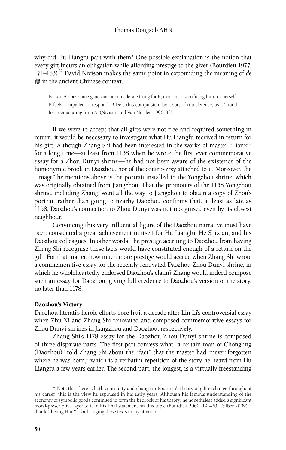why did Hu Liangfu part with them? One possible explanation is the notion that every gift incurs an obligation while affording prestige to the giver (Bourdieu 1977,  $171-183$ ).<sup>22</sup> David Nivison makes the same point in expounding the meaning of *de* 德 in the ancient Chinese context.

Person A does some generous or considerate thing for B, in a sense sacrificing him- or herself. B feels compelled to respond. B feels this compulsion, by a sort of transference, as a 'moral force' emanating from A. (Nivison and Van Norden 1996, 33)

If we were to accept that all gifts were not free and required something in return, it would be necessary to investigate what Hu Liangfu received in return for his gift. Although Zhang Shi had been interested in the works of master "Lianxi" for a long time—at least from 1158 when he wrote the first ever commemorative essay for a Zhou Dunyi shrine—he had not been aware of the existence of the homonymic brook in Daozhou, nor of the controversy attached to it. Moreover, the "image" he mentions above is the portrait installed in the Yongzhou shrine, which was originally obtained from Jiangzhou. That the promoters of the 1158 Yongzhou shrine, including Zhang, went all the way to Jiangzhou to obtain a copy of Zhou's portrait rather than going to nearby Daozhou confirms that, at least as late as 1158, Daozhou's connection to Zhou Dunyi was not recognised even by its closest neighbour.

Convincing this very influential figure of the Daozhou narrative must have been considered a great achievement in itself for Hu Liangfu, He Shixian, and his Daozhou colleagues. In other words, the prestige accruing to Daozhou from having Zhang Shi recognise these facts would have constituted enough of a return on the gift. For that matter, how much more prestige would accrue when Zhang Shi wrote a commemorative essay for the recently renovated Daozhou Zhou Dunyi shrine, in which he wholeheartedly endorsed Daozhou's claim? Zhang would indeed compose such an essay for Daozhou, giving full credence to Daozhou's version of the story, no later than 1178.

#### Daozhou's Victory

Daozhou literati's heroic efforts bore fruit a decade after Lin Li's controversial essay when Zhu Xi and Zhang Shi renovated and composed commemorative essays for Zhou Dunyi shrines in Jiangzhou and Daozhou, respectively.

Zhang Shi's 1178 essay for the Daozhou Zhou Dunyi shrine is composed of three disparate parts. The first part conveys what "a certain man of Chongling (Daozhou)" told Zhang Shi about the "fact" that the master had "never forgotten where he was born," which is a verbatim repetition of the story he heard from Hu Liangfu a few years earlier. The second part, the longest, is a virtually freestanding

 $^{22}$  Note that there is both continuity and change in Bourdieu's theory of gift exchange throughout his career; this is the view he espoused in his early years. Although his famous understanding of the economy of symbolic goods continued to form the bedrock of his theory, he nonetheless added a significant moral-prescriptive layer to it in his final statement on this topic (Bourdieu 2000, 191–201; Silber 2009). I thank Cheung Hiu Yu for bringing these texts to my attention.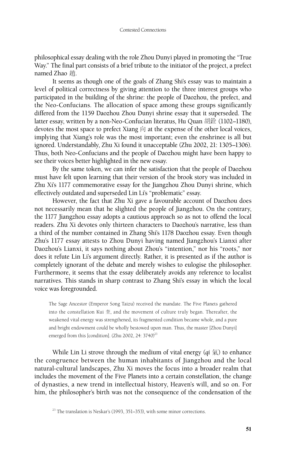philosophical essay dealing with the role Zhou Dunyi played in promoting the "True Way." The final part consists of a brief tribute to the initiator of the project, a prefect named Zhao 趙.

It seems as though one of the goals of Zhang Shi's essay was to maintain a level of political correctness by giving attention to the three interest groups who participated in the building of the shrine: the people of Daozhou, the prefect, and the Neo-Confucians. The allocation of space among these groups significantly differed from the 1159 Daozhou Zhou Dunyi shrine essay that it superseded. The latter essay, written by a non-Neo-Confucian literatus, Hu Quan 胡銓 (1102–1180), devotes the most space to prefect Xiang 向 at the expense of the other local voices, implying that Xiang's role was the most important; even the enshrinee is all but ignored. Understandably, Zhu Xi found it unacceptable (Zhu 2002, 21: 1305–1306). Thus, both Neo-Confucians and the people of Daozhou might have been happy to see their voices better highlighted in the new essay.

By the same token, we can infer the satisfaction that the people of Daozhou must have felt upon learning that their version of the brook story was included in Zhu Xi's 1177 commemorative essay for the Jiangzhou Zhou Dunyi shrine, which effectively outdated and superseded Lin Li's "problematic" essay.

However, the fact that Zhu Xi gave a favourable account of Daozhou does not necessarily mean that he slighted the people of Jiangzhou. On the contrary, the 1177 Jiangzhou essay adopts a cautious approach so as not to offend the local readers. Zhu Xi devotes only thirteen characters to Daozhou's narrative, less than a third of the number contained in Zhang Shi's 1178 Daozhou essay. Even though Zhu's 1177 essay attests to Zhou Dunyi having named Jiangzhou's Lianxi after Daozhou's Lianxi, it says nothing about Zhou's "intention," nor his "roots," nor does it refute Lin Li's argument directly. Rather, it is presented as if the author is completely ignorant of the debate and merely wishes to eulogise the philosopher. Furthermore, it seems that the essay deliberately avoids any reference to localist narratives. This stands in sharp contrast to Zhang Shi's essay in which the local voice was foregrounded.

The Sage Ancestor (Emperor Song Taizu) received the mandate. The Five Planets gathered into the constellation Kui  $\hat{\Xi}$ , and the movement of culture truly began. Thereafter, the weakened vital energy was strengthened, its fragmented condition became whole, and a pure and bright endowment could be wholly bestowed upon man. Thus, the master [Zhou Dunyi] emerged from this [condition]. (Zhu 2002, 24: 3740) $^{23}$ 

While Lin Li strove through the medium of vital energy (*qi* 氣) to enhance the congruence between the human inhabitants of Jiangzhou and the local natural-cultural landscapes, Zhu Xi moves the focus into a broader realm that includes the movement of the Five Planets into a certain constellation, the change of dynasties, a new trend in intellectual history, Heaven's will, and so on. For him, the philosopher's birth was not the consequence of the condensation of the

 $23$  The translation is Neskar's (1993, 351–353), with some minor corrections.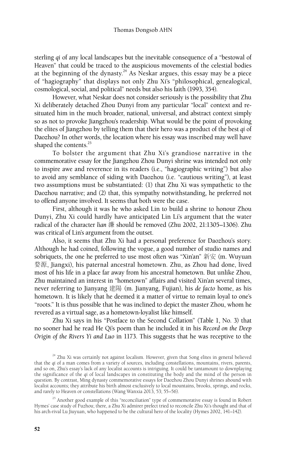sterling *qi* of any local landscapes but the inevitable consequence of a "bestowal of Heaven" that could be traced to the auspicious movements of the celestial bodies at the beginning of the dynasty.<sup>24</sup> As Neskar argues, this essay may be a piece of "hagiography" that displays not only Zhu Xi's "philosophical, genealogical, cosmological, social, and political" needs but also his faith (1993, 354).

However, what Neskar does not consider seriously is the possibility that Zhu Xi deliberately detached Zhou Dunyi from any particular "local" context and resituated him in the much broader, national, universal, and abstract context simply so as not to provoke Jiangzhou's readership. What would be the point of provoking the elites of Jiangzhou by telling them that their hero was a product of the best *qi* of Daozhou? In other words, the location where his essay was inscribed may well have shaped the contents.<sup>25</sup>

To bolster the argument that Zhu Xi's grandiose narrative in the commemorative essay for the Jiangzhou Zhou Dunyi shrine was intended not only to inspire awe and reverence in its readers (i.e., "hagiographic writing") but also to avoid any semblance of siding with Daozhou (i.e. "cautious writing"), at least two assumptions must be substantiated: (1) that Zhu Xi was sympathetic to the Daozhou narrative; and (2) that, this sympathy notwithstanding, he preferred not to offend anyone involved. It seems that both were the case.

First, although it was he who asked Lin to build a shrine to honour Zhou Dunyi, Zhu Xi could hardly have anticipated Lin Li's argument that the water radical of the character *lian* 濂 should be removed (Zhu 2002, 21:1305–1306). Zhu was critical of Lin's argument from the outset.

Also, it seems that Zhu Xi had a personal preference for Daozhou's story. Although he had coined, following the vogue, a good number of studio names and sobriquets, the one he preferred to use most often was "Xin'an" 新安 (m. Wuyuan 婺源, Jiangxi), his paternal ancestral hometown. Zhu, as Zhou had done, lived most of his life in a place far away from his ancestral hometown. But unlike Zhou, Zhu maintained an interest in "hometown" affairs and visited Xin'an several times, never referring to Jianyang 建陽 (m. Jianyang, Fujian), his *de facto* home, as his hometown. It is likely that he deemed it a matter of virtue to remain loyal to one's "roots." It is thus possible that he was inclined to depict the master Zhou, whom he revered as a virtual sage, as a hometown-loyalist like himself.

Zhu Xi says in his "Postface to the Second Collation" (Table 1, No. 3) that no sooner had he read He Qi's poem than he included it in his *Record on the Deep Origin of the Rivers Yi and Luo* in 1173. This suggests that he was receptive to the

<sup>25</sup> Another good example of this "reconciliation" type of commemorative essay is found in Robert Hymes' case study of Fuzhou; there, a Zhu Xi admirer prefect tried to reconcile Zhu Xi's thought and that of his arch-rival Lu Jiuyuan, who happened to be the cultural hero of the locality (Hymes 2002, 141–142).

 $24$  Zhu Xi was certainly not against localism. However, given that Song elites in general believed that the *qi* of a man comes from a variety of sources, including constellations, mountains, rivers, parents, and so on, Zhu's essay's lack of any localist accounts is intriguing. It could be tantamount to downplaying and so on, Zhu's essay's lack of any localist accounts is intriguing. It could be tantamount to downplaying the significance of the *qi* of local landscapes in constituting the body and the mind of the person in question. By contrast, Ming dynasty commemorative essays for Daozhou Zhou Dunyi shrines abound with localist accounts; they attribute his birth almost exclusively to local mountains, brooks, springs, and rocks, and rarely to Heaven or constellations (Wang Wanxia 2013, 53; 55–56).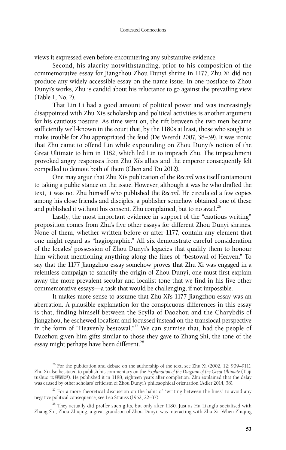views it expressed even before encountering any substantive evidence.

Second, his alacrity notwithstanding, prior to his composition of the commemorative essay for Jiangzhou Zhou Dunyi shrine in 1177, Zhu Xi did not produce any widely accessible essay on the name issue. In one postface to Zhou Dunyi's works, Zhu is candid about his reluctance to go against the prevailing view (Table 1, No. 2).

That Lin Li had a good amount of political power and was increasingly disappointed with Zhu Xi's scholarship and political activities is another argument for his cautious posture. As time went on, the rift between the two men became sufficiently well-known in the court that, by the 1180s at least, those who sought to make trouble for Zhu appropriated the feud (De Weerdt 2007, 38–39). It was ironic that Zhu came to offend Lin while expounding on Zhou Dunyi's notion of the Great Ultimate to him in 1182, which led Lin to impeach Zhu. The impeachment provoked angry responses from Zhu Xi's allies and the emperor consequently felt compelled to demote both of them (Chen and Du 2012).

One may argue that Zhu Xi's publication of the *Record* was itself tantamount to taking a public stance on the issue. However, although it was he who drafted the text, it was not Zhu himself who published the *Record*. He circulated a few copies among his close friends and disciples; a publisher somehow obtained one of these and published it without his consent. Zhu complained, but to no avail. $^{26}$ 

Lastly, the most important evidence in support of the "cautious writing" proposition comes from Zhu's five other essays for different Zhou Dunyi shrines. None of them, whether written before or after 1177, contain any element that one might regard as "hagiographic." All six demonstrate careful consideration of the locales' possession of Zhou Dunyi's legacies that qualify them to honour him without mentioning anything along the lines of "bestowal of Heaven." To say that the 1177 Jiangzhou essay somehow proves that Zhu Xi was engaged in a relentless campaign to sanctify the origin of Zhou Dunyi, one must first explain away the more prevalent secular and localist tone that we find in his five other commemorative essays—a task that would be challenging, if not impossible.

It makes more sense to assume that Zhu Xi's 1177 Jiangzhou essay was an aberration. A plausible explanation for the conspicuous differences in this essay is that, finding himself between the Scylla of Daozhou and the Charybdis of Jiangzhou, he eschewed localism and focussed instead on the translocal perspective in the form of "Heavenly bestowal."27 We can surmise that, had the people of Daozhou given him gifts similar to those they gave to Zhang Shi, the tone of the essay might perhaps have been different.<sup>28</sup>

<sup>28</sup> They actually did proffer such gifts, but only after 1180. Just as Hu Liangfu socialised with Zhang Shi, Zhou Zhiqing, a great grandson of Zhou Dunyi, was interacting with Zhu Xi. When Zhiqing

<sup>&</sup>lt;sup>26</sup> For the publication and debate on the authorship of the text, see Zhu Xi (2002, 12: 909–911). Zhu Xi also hesitated to publish his commentary on the *Explanation of the Diagram of the Great Ultimate* (Taiji tushuo 太極圖說). He published it in 1188, eighteen years after completion. Zhu explained that the delay was caused by other scholars' criticism of Zhou Dunyi's philosophical orientation (Adler 2014, 38).

 $27$  For a more theoretical discussion on the habit of "writing between the lines" to avoid any negative political consequence, see Leo Strauss (1952, 22–37).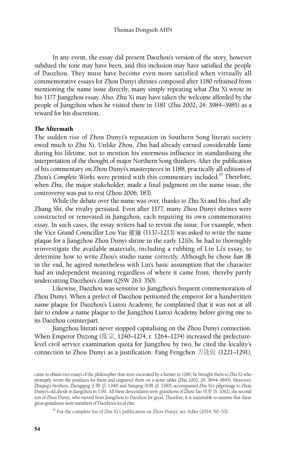In any event, the essay did present Daozhou's version of the story, however subdued the tone may have been, and this inclusion may have satisfied the people of Daozhou. They must have become even more satisfied when virtually all commemorative essays for Zhou Dunyi shrines composed after 1180 refrained from mentioning the name issue directly, many simply repeating what Zhu Xi wrote in his 1177 Jiangzhou essay. Also, Zhu Xi may have taken the welcome afforded by the people of Jiangzhou when he visited there in 1181 (Zhu 2002, 24: 3984–3985) as a reward for his discretion.

# The Aftermath

The sudden rise of Zhou Dunyi's reputation in Southern Song literati society owed much to Zhu Xi. Unlike Zhou, Zhu had already earned considerable fame during his lifetime, not to mention his enormous influence in standardising the interpretation of the thought of major Northern Song thinkers. After the publication of his commentary on Zhou Dunyi's masterpieces in 1188, practically all editions of Zhou's *Complete* Works were printed with this commentary included.<sup>29</sup> Therefore, when Zhu, the major stakeholder, made a final judgment on the name issue, the controversy was put to rest (Zhou 2006, 183).

While the debate over the name was over, thanks to Zhu Xi and his chief ally Zhang Shi, the rivalry persisted. Even after 1177, many Zhou Dunyi shrines were constructed or renovated in Jiangzhou, each requiring its own commemorative essay. In such cases, the essay writers had to revisit the issue. For example, when the Vice Grand Councillor Lou Yue 樓鑰 (1137–1213) was asked to write the name plaque for a Jiangzhou Zhou Dunyi shrine in the early 1210s, he had to thoroughly reinvestigate the available materials, including a rubbing of Lin Li's essay, to determine how to write Zhou's studio name correctly. Although he chose *lian* 濂 in the end, he agreed nonetheless with Lin's basic assumption that the character had an independent meaning regardless of where it came from, thereby partly undercutting Daozhou's claim (QSW 263: 350).

Likewise, Daozhou was sensitive to Jiangzhou's frequent commemoration of Zhou Dunyi. When a prefect of Daozhou petitioned the emperor for a handwritten name plaque for Daozhou's Lianxi Academy, he complained that it was not at all fair to endow a name plaque to the Jiangzhou Lianxi Academy before giving one to its Daozhou counterpart.

Jiangzhou literati never stopped capitalising on the Zhou Dunyi connection. When Emperor Duzong (度宗, 1240–1274, r. 1264–1274) increased the prefecturelevel civil service examination quota for Jiangzhou by two, he cited the locality's connection to Zhou Dunyi as a justification. Fang Fengchen 方逢辰 (1221–1291),

came to obtain two essays of the philosopher that were excavated by a farmer in 1180, he brought them to Zhu Xi who promptly wrote the postfaces for them and engraved them on a stone tablet (Zhu 2002, 24: 3844–3845). Moreover, Zhiqing's brothers, Zhengqing 正卿 (*fl.* 1180) and Yanqing 彥卿 (*fl.* 1180), accompanied Zhu Xi's pilgrimage to Zhou Dunyi's old abode in Jiangzhou in 1181. All these descendants were grandsons of Zhou Tao 周燾 (b. 1062), the second son of Zhou Dunyi, who moved from Jiangzhou to Daozhou for good. Therefore, it is reasonable to assume that these great-grandsons were members of Daozhou's local elite.

<sup>&</sup>lt;sup>29</sup> For the complete list of Zhu Xi's publication on Zhou Dunyi, see Adler (2014, 50–53).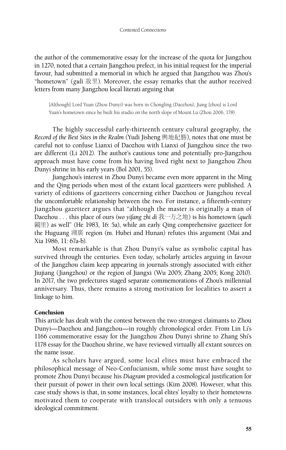the author of the commemorative essay for the increase of the quota for Jiangzhou in 1270, noted that a certain Jiangzhou prefect, in his initial request for the imperial favour, had submitted a memorial in which he argued that Jiangzhou was Zhou's "hometown" (*guli* 故里). Moreover, the essay remarks that the author received letters from many Jiangzhou local literati arguing that

[Although] Lord Yuan (Zhou Dunyi) was born in Chongling (Daozhou), Jiang [zhou] is Lord Yuan's hometown since he built his studio on the north slope of Mount Lu (Zhou 2006, 178).

The highly successful early-thirteenth century cultural geography, the *Record of the Best Sites in the Realm* (Yudi Jisheng 輿地紀勝), notes that one must be careful not to confuse Lianxi of Daozhou with Lianxi of Jiangzhou since the two are different (Li 2012). The author's cautious tone and potentially pro-Jiangzhou approach must have come from his having lived right next to Jiangzhou Zhou Dunyi shrine in his early years (Bol 2001, 55).

Jiangzhou's interest in Zhou Dunyi became even more apparent in the Ming and the Qing periods when most of the extant local gazetteers were published. A variety of editions of gazetteers concerning either Daozhou or Jiangzhou reveal the uncomfortable relationship between the two. For instance, a fifteenth-century Jiangzhou gazetteer argues that "although the master is originally a man of Daozhou . . . this place of ours (*wo yifang zhi di* 我一方之地) is his hometown (*queli* 闕里) as well" (He 1983, 16: 5a), while an early Qing comprehensive gazetteer for the Huguang 湖廣 region (m. Hubei and Hunan) refutes this argument (Mai and Xia 1986, 11: 67a-b).

Most remarkable is that Zhou Dunyi's value as symbolic capital has survived through the centuries. Even today, scholarly articles arguing in favour of the Jiangzhou claim keep appearing in journals strongly associated with either Jiujiang (Jiangzhou) or the region of Jiangxi (Wu 2005; Zhang 2005; Kong 2010). In 2017, the two prefectures staged separate commemorations of Zhou's millennial anniversary. Thus, there remains a strong motivation for localities to assert a linkage to him.

# Conclusion

This article has dealt with the contest between the two strongest claimants to Zhou Dunyi—Daozhou and Jiangzhou—in roughly chronological order. From Lin Li's 1166 commemorative essay for the Jiangzhou Zhou Dunyi shrine to Zhang Shi's 1178 essay for the Daozhou shrine, we have reviewed virtually all extant sources on the name issue.

As scholars have argued, some local elites must have embraced the philosophical message of Neo-Confucianism, while some must have sought to promote Zhou Dunyi because his *Diagram* provided a cosmological justification for their pursuit of power in their own local settings (Kim 2008). However, what this case study shows is that, in some instances, local elites' loyalty to their hometowns motivated them to cooperate with translocal outsiders with only a tenuous ideological commitment.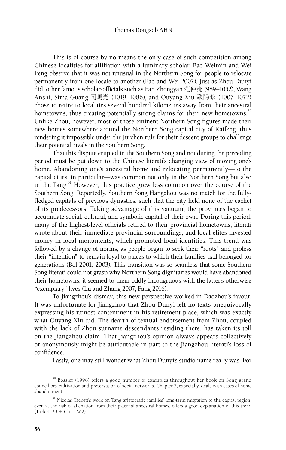This is of course by no means the only case of such competition among Chinese localities for affiliation with a luminary scholar. Bao Weimin and Wei Feng observe that it was not unusual in the Northern Song for people to relocate permanently from one locale to another (Bao and Wei 2007). Just as Zhou Dunyi did, other famous scholar-officials such as Fan Zhongyan 范仲淹 (989–1052), Wang Anshi, Sima Guang 司馬光 (1019–1086), and Ouyang Xiu 歐陽修 (1007–1072) chose to retire to localities several hundred kilometres away from their ancestral hometowns, thus creating potentially strong claims for their new hometowns.<sup>30</sup> Unlike Zhou, however, most of those eminent Northern Song figures made their new homes somewhere around the Northern Song capital city of Kaifeng, thus rendering it impossible under the Jurchen rule for their descent groups to challenge their potential rivals in the Southern Song.

That this dispute erupted in the Southern Song and not during the preceding period must be put down to the Chinese literati's changing view of moving one's home. Abandoning one's ancestral home and relocating permanently—to the capital cities, in particular—was common not only in the Northern Song but also in the Tang.<sup>31</sup> However, this practice grew less common over the course of the Southern Song. Reportedly, Southern Song Hangzhou was no match for the fullyfledged capitals of previous dynasties, such that the city held none of the cachet of its predecessors. Taking advantage of this vacuum, the provinces began to accumulate social, cultural, and symbolic capital of their own. During this period, many of the highest-level officials retired to their provincial hometowns; literati wrote about their immediate provincial surroundings; and local elites invested money in local monuments, which promoted local identities. This trend was followed by a change of norms, as people began to seek their "roots" and profess their "intention" to remain loyal to places to which their families had belonged for generations (Bol 2001; 2003). This transition was so seamless that some Southern Song literati could not grasp why Northern Song dignitaries would have abandoned their hometowns; it seemed to them oddly incongruous with the latter's otherwise "exemplary" lives (Lü and Zhang 2007; Fang 2016).

To Jiangzhou's dismay, this new perspective worked in Daozhou's favour. It was unfortunate for Jiangzhou that Zhou Dunyi left no texts unequivocally expressing his utmost contentment in his retirement place, which was exactly what Ouyang Xiu did. The dearth of textual endorsement from Zhou, coupled with the lack of Zhou surname descendants residing there, has taken its toll on the Jiangzhou claim. That Jiangzhou's opinion always appears collectively or anonymously might be attributable in part to the Jiangzhou literati's loss of confidence.

Lastly, one may still wonder what Zhou Dunyi's studio name really was. For

<sup>&</sup>lt;sup>30</sup> Bossler (1998) offers a good number of examples throughout her book on Song grand councillors' cultivation and preservation of social networks. Chapter 3, especially, deals with cases of home abandonment.

<sup>&</sup>lt;sup>31</sup> Nicolas Tackett's work on Tang aristocratic families' long-term migration to the capital region, even at the risk of alienation from their paternal ancestral homes, offers a good explanation of this trend (Tackett 2014, Ch. 1 & 2).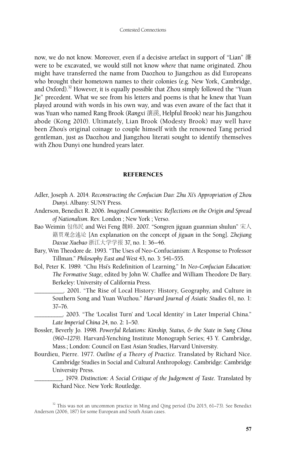now, we do not know. Moreover, even if a decisive artefact in support of "Lian" 濂 were to be excavated, we would still not know *where* that name originated. Zhou might have transferred the name from Daozhou to Jiangzhou as did Europeans who brought their hometown names to their colonies (e.g. New York, Cambridge, and Oxford).<sup>32</sup> However, it is equally possible that Zhou simply followed the "Yuan Jie" precedent. What we see from his letters and poems is that he knew that Yuan played around with words in his own way, and was even aware of the fact that it was Yuan who named Rang Brook (*Rangxi* 瀼溪, Helpful Brook) near his Jiangzhou abode (Kong 2010). Ultimately, Lian Brook (Modesty Brook) may well have been Zhou's original coinage to couple himself with the renowned Tang period gentleman, just as Daozhou and Jiangzhou literati sought to identify themselves with Zhou Dunyi one hundred years later.

#### **REFERENCES**

- Adler, Joseph A. 2014. *Reconstructing the Confucian Dao: Zhu Xi's Appropriation of Zhou Dunyi*. Albany: SUNY Press.
- Anderson, Benedict R. 2006. *Imagined Communities: Reflections on the Origin and Spread of Nationalism*. Rev. London ; New York ; Verso.
- Bao Weimin 包伟民 and Wei Feng 魏峰. 2007. "Songren jiguan guannian shulun" 宋人 籍贯观念述论 [An explanation on the concept of *jiguan* in the Song]. *Zhejiang Daxue Xuebao* 浙江大学学报 37, no. 1: 36–46.
- Bary, Wm Theodore de. 1993. "The Uses of Neo-Confucianism: A Response to Professor Tillman." *Philosophy East and West* 43, no. 3: 541–555.
- Bol, Peter K. 1989. "Chu Hsi's Redefinition of Learning." In *Neo-Confucian Education: The Formative Stage*, edited by John W. Chaffee and William Theodore De Bary. Berkeley: University of California Press.
	- \_\_\_\_\_\_\_\_\_\_. 2001. "The Rise of Local History: History, Geography, and Culture in Southern Song and Yuan Wuzhou." *Harvard Journal of Asiatic Studies* 61, no. 1: 37–76.

\_\_\_\_\_\_\_\_\_\_. 2003. "The 'Localist Turn' and 'Local Identity' in Later Imperial China." *Late Imperial China* 24, no. 2: 1–50.

- Bossler, Beverly Jo. 1998. *Powerful Relations: Kinship, Status, & the State in Sung China (960–1279)*. Harvard-Yenching Institute Monograph Series; 43 Y. Cambridge, Mass.; London: Council on East Asian Studies, Harvard University.
- Bourdieu, Pierre. 1977. *Outline of a Theory of Practice*. Translated by Richard Nice. Cambridge Studies in Social and Cultural Anthropology. Cambridge: Cambridge University Press.

\_\_\_\_\_\_\_\_\_\_. 1979. *Distinction: A Social Critique of the Judgement of Taste*. Translated by Richard Nice. New York: Routledge.

<sup>&</sup>lt;sup>32</sup> This was not an uncommon practice in Ming and Qing period (Du 2015, 61-73). See Benedict Anderson (2006, 187) for some European and South Asian cases.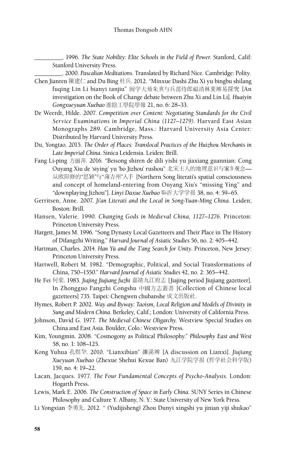\_\_\_\_\_\_\_\_\_\_. 1996. *The State Nobility: Elite Schools in the Field of Power*. Stanford, Calif: Stanford University Press.

\_\_\_\_\_\_\_\_\_\_. 2000. *Pascalian Meditations*. Translated by Richard Nice. Cambridge: Polity.

- Chen Jianren 陳建仁 and Du Bing 杜兵. 2012. "Minxue Dashi Zhu Xi yu bingbu shilang fuqing Lin Li bianyi tanjiu" 闽学大师朱熹与兵部侍郎福清林栗辨易探究 [An investigation on the Book of Change debate between Zhu Xi and Lin Li]. *Huaiyin Gongxueyuan Xuebao* 淮陰工學院學報 21, no. 6: 28–33.
- De Weerdt, Hilde. 2007. *Competition over Content: Negotiating Standards for the Civil Service Examinations in Imperial China (1127–1279)*. Harvard East Asian Monographs 289. Cambridge, Mass.: Harvard University Asia Center: Distributed by Harvard University Press.
- Du, Yongtao. 2015. *The Order of Places: Translocal Practices of the Huizhou Merchants in Late Imperial China.* Sinica Leidensia. Leiden: Brill.
- Fang Li-ping 方丽萍. 2016. "Beisong shiren de dili yishi yu jiaxiang guannian: Cong Ouyang Xiu de 'siying' yu 'bo Jizhou' rushou" 北宋士人的地理意识与家乡观念— 从欧阳修的"思颖"与"薄吉州"入手 [Northern Song literati's spatial consciousness and concept of homeland-entering from Ouyang Xiu's "missing Ying" and "downplaying Jizhou"]. *Linyi Daxue Xuebao* 临沂大学学报 38, no. 4: 59–65.
- Gerritsen, Anne. 2007. *Ji'an Literati and the Local in Song-Yuan-Ming China*. Leiden; Boston: Brill.
- Hansen, Valerie. 1990. *Changing Gods in Medieval China, 1127–1276*. Princeton: Princeton University Press.
- Hargett, James M. 1996. "Song Dynasty Local Gazetteers and Their Place in The History of Difangzhi Writing." *Harvard Journal of Asiatic Studies* 56, no. 2: 405–442.
- Hartman, Charles. 2014. *Han Yü and the T'ang Search for Unity*. Princeton, New Jersey: Princeton University Press.
- Hartwell, Robert M. 1982. "Demographic, Political, and Social Transformations of China, 750–1550." *Harvard Journal of Asiatic Studies* 42, no. 2: 365–442.
- He Fei 何棐. 1983. *Jiajing Jiujiang fuzhi* 嘉靖九江府志 [Jiajing period Jiujiang gazetteer]. In Zhongguo Fangzhi Congshu 中國方志叢書 [Collection of Chinese local gazetteers] 735. Taipei: Chengwen chubanshe 成文出版社.
- Hymes, Robert P. 2002. *Way and Byway: Taoism, Local Religion and Models of Divinity in Sung and Modern China*. Berkeley, Calif.; London: University of California Press.
- Johnson, David G. 1977. *The Medieval Chinese Oligarchy*. Westview Special Studies on China and East Asia. Boulder, Colo.: Westview Press.
- Kim, Youngmin. 2008. "Cosmogony as Political Philosophy." *Philosophy East and West*  58, no. 1: 108–125.
- Kong Yuhua 孔煜华. 2010. "Lianxibian" 濂溪辨 [A discussion on Lianxi]. *Jiujiang Xueyuan Xuebao* (Zhexue Shehui Kexue Ban) 九江学院学报 (哲学社会科学版) 159, no. 4: 19–22.
- Lacan, Jacques. 1977. *The Four Fundamental Concepts of Psycho-Analysis.* London: Hogarth Press.
- Lewis, Mark E. 2006. *The Construction of Space in Early China*. SUNY Series in Chinese Philosophy and Culture Y. Albany, N. Y.: State University of New York Press.
- Li Yongxian 李勇先. 2012. "《Yudijisheng》Zhou Dunyi xingshi yu jinian yiji shukao"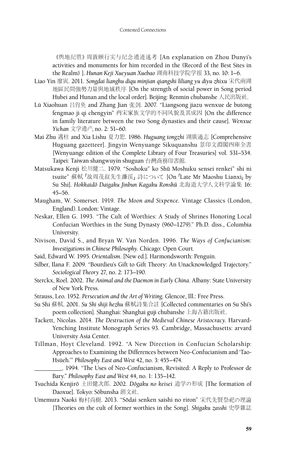《舆地纪胜》周敦颐行实与纪念遗迹述考 [An explanation on Zhou Dunyi's activities and monuments for him recorded in the《Record of the Best Sites in the Realm》]. *Hunan Keji Xueyuan Xuebao* 湖南科技学院学报 33, no. 10: 1–6.

- Liao Yin 廖寅. 2011. *Songdai lianghu diqu minjian qiangshi liliang yu diyu zhixu* 宋代兩湖 地區民間強勢力量與地域秩序 [On the strength of social power in Song period Hubei and Hunan and the local order]. Beijing: Renmin chubanshe 人民出版社.
- Lü Xiaohuan 吕肖奂 and Zhang Jian 张剑. 2007. "Liangsong jiazu wenxue de butong fengmao ji qi chengyin" 两宋家族文学的不同风貌及其成因 [On the difference in family literature between the two Song dynasties and their cause]. *Wenxue Yichan* 文学遗产, no. 2: 51–60.
- Mai Zhu 邁柱 and Xia Lishu 夏力恕. 1986. *Huguang tongzhi* 湖廣通志 [Comprehensive Huguang gazetteer]. Jingyin Wenyuange Sikuquanshu 景印文淵閣四庫全書 [Wenyuange edition of the Complete Library of Four Treasuries] vol. 531–534. Taipei: Taiwan shangwuyin shuguan 台灣商務印書館.
- Matsukawa Kenji 松川健二. 1979. "Soshoku" ko Shū Moshuku sensei renkei" shi ni tsuite" 蘇軾「故周茂叔先生濂渓」詩について [On「Late Mr Maoshu Lianxi」by Su Shi]. *Hokkaidoˉ Daigaku Jinbun Kagaku Ronshuˉ* 北海道大学人文科学論集 16: 45–56.
- Maugham, W. Somerset. 1919. *The Moon and Sixpence*. Vintage Classics (London, England). London: Vintage.
- Neskar, Ellen G. 1993. "The Cult of Worthies: A Study of Shrines Honoring Local Confucian Worthies in the Sung Dynasty (960–1279)." Ph.D. diss., Columbia University.
- Nivison, David S., and Bryan W. Van Norden. 1996. *The Ways of Confucianism: Investigations in Chinese Philosophy*. Chicago: Open Court.
- Said, Edward W. 1995. *Orientalism*. [New ed.]. Harmondsworth: Penguin.
- Silber, Ilana F. 2009. "Bourdieu's Gift to Gift Theory: An Unacknowledged Trajectory." *Sociological Theory* 27, no. 2: 173–190.
- Sterckx, Roel. 2002. *The Animal and the Daemon in Early China*. Albany: State University of New York Press.
- Strauss, Leo. 1952. *Persecution and the Art of Writing*. Glencoe, Ill.: Free Press.
- Su Shi 蘇軾. 2001. *Su Shi shiji hezhu* 蘇軾詩集合註 [Collected commentaries on Su Shi's poem collection]. Shanghai: Shanghai guji chubanshe 上海古籍出版社.
- Tackett, Nicolas. 2014. *The Destruction of the Medieval Chinese Aristocracy*. Harvard-Yenching Institute Monograph Series 93. Cambridge, Massachusetts: arvard University Asia Center.
- Tillman, Hoyt Cleveland. 1992. "A New Direction in Confucian Scholarship: Approaches to Examining the Differences between Neo-Confucianism and 'Tao-Hsüeh.'" *Philosophy East and West* 42, no. 3: 455–474.

- Tsuchida Kenjirō 土田健次郎. 2002. *Dōgaku no keisei* 道学の形成 [The formation of Daoxue]. Tokyo: Sōbunsha 創文社.
- Umemura Naoki 梅村尚樹. 2013. "Sōdai senken saishi no riron" 宋代先賢祭祀の理論 [Theories on the cult of former worthies in the Song]. *Shigaku zasshi* 史學雜誌

\_\_\_\_\_\_\_\_\_\_. 1994. "The Uses of Neo-Confucianism, Revisited: A Reply to Professor de Bary." *Philosophy East and West* 44, no. 1: 135–142.